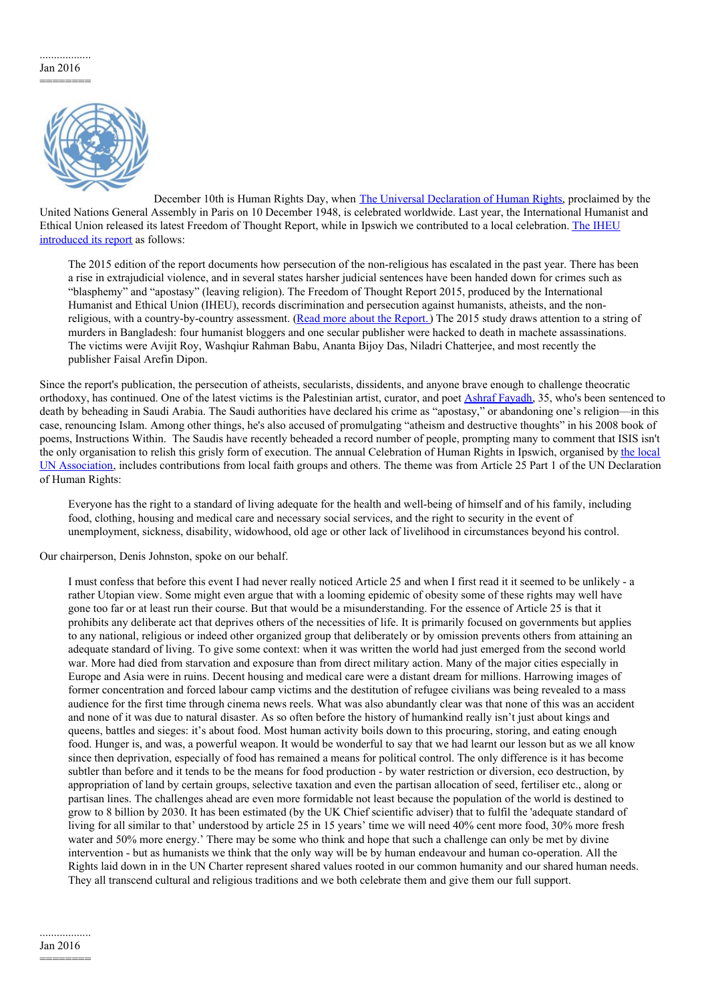## .................. Jan 2016 ========



December 10th is Human Rights Day, when The Universal [Declaration](http://www.un.org/en/universal-declaration-human-rights/) of Human Rights, proclaimed by the United Nations General Assembly in Paris on 10 December 1948, is celebrated worldwide. Last year, the International Humanist and Ethical Union released its latest Freedom of Thought Report, while in Ipswich we contributed to a local [celebration.](http://iheu.org/freedom-of-thought-report-2015/) The IHEU introduced its report as follows:

The 2015 edition of the report documents how persecution of the non-religious has escalated in the past year. There has been a rise in extrajudicial violence, and in several states harsher judicial sentences have been handed down for crimes such as "blasphemy" and "apostasy" (leaving religion). The Freedom of Thought Report 2015, produced by the International Humanist and Ethical Union (IHEU), records discrimination and persecution against humanists, atheists, and the non-religious, with a country-by-country assessment. (Read more about the [Report.](http://freethoughtreport.com/about-the-report/)) The 2015 study draws attention to a string of murders in Bangladesh: four humanist bloggers and one secular publisher were hacked to death in machete assassinations. The victims were Avijit Roy, Washqiur Rahman Babu, Ananta Bijoy Das, Niladri Chatterjee, and most recently the publisher Faisal Arefin Dipon.

Since the report's publication, the persecution of atheists, secularists, dissidents, and anyone brave enough to challenge theocratic orthodoxy, has continued. One of the latest victims is the Palestinian artist, curator, and poet Ashraf [Fayadh](http://mondoweiss.net/2016/01/palestinian-scheduled-execution), 35, who's been sentenced to death by beheading in Saudi Arabia. The Saudi authorities have declared his crime as "apostasy," or abandoning one's religion—in this case, renouncing Islam. Among other things, he's also accused of promulgating "atheism and destructive thoughts" in his 2008 book of poems, Instructions Within. The Saudis have recently beheaded a record number of people, prompting many to comment that ISIS isn't the only organisation to relish this grisly form of execution. The annual Celebration of Human Rights in Ipswich, organised by the local UN Association, includes [contributions](http://www.una.org.uk/members/branches/una-ipswich-district) from local faith groups and others. The theme was from Article 25 Part 1 of the UN Declaration of Human Rights:

Everyone has the right to a standard of living adequate for the health and well-being of himself and of his family, including food, clothing, housing and medical care and necessary social services, and the right to security in the event of unemployment, sickness, disability, widowhood, old age or other lack of livelihood in circumstances beyond his control.

Our chairperson, Denis Johnston, spoke on our behalf.

I must confess that before this event I had never really noticed Article 25 and when I first read it it seemed to be unlikely - a rather Utopian view. Some might even argue that with a looming epidemic of obesity some of these rights may well have gone too far or at least run their course. But that would be a misunderstanding. For the essence of Article 25 is that it prohibits any deliberate act that deprives others of the necessities of life. It is primarily focused on governments but applies to any national, religious or indeed other organized group that deliberately or by omission prevents others from attaining an adequate standard of living. To give some context: when it was written the world had just emerged from the second world war. More had died from starvation and exposure than from direct military action. Many of the major cities especially in Europe and Asia were in ruins. Decent housing and medical care were a distant dream for millions. Harrowing images of former concentration and forced labour camp victims and the destitution of refugee civilians was being revealed to a mass audience for the first time through cinema news reels. What was also abundantly clear was that none of this was an accident and none of it was due to natural disaster. As so often before the history of humankind really isn't just about kings and queens, battles and sieges: it's about food. Most human activity boils down to this procuring, storing, and eating enough food. Hunger is, and was, a powerful weapon. It would be wonderful to say that we had learnt our lesson but as we all know since then deprivation, especially of food has remained a means for political control. The only difference is it has become subtler than before and it tends to be the means for food production - by water restriction or diversion, eco destruction, by appropriation of land by certain groups, selective taxation and even the partisan allocation of seed, fertiliser etc., along or partisan lines. The challenges ahead are even more formidable not least because the population of the world is destined to grow to 8 billion by 2030. It has been estimated (by the UK Chief scientific adviser) that to fulfil the 'adequate standard of living for all similar to that' understood by article 25 in 15 years' time we will need 40% cent more food, 30% more fresh water and 50% more energy.' There may be some who think and hope that such a challenge can only be met by divine intervention - but as humanists we think that the only way will be by human endeavour and human co-operation. All the Rights laid down in in the UN Charter represent shared values rooted in our common humanity and our shared human needs. They all transcend cultural and religious traditions and we both celebrate them and give them our full support.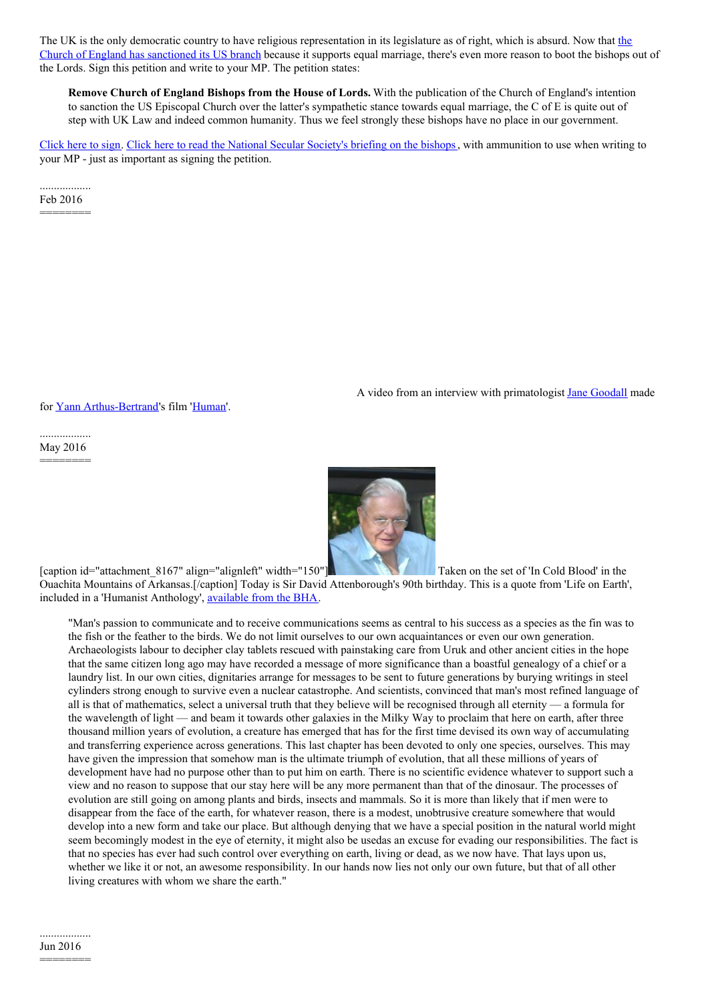The UK is the only democratic country to have religious [representation](http://www.theguardian.com/world/2016/jan/14/anglican-church-sanctions-against-liberal-us-church-same-sex-marriage) in its legislature as of right, which is absurd. Now that the Church of England has sanctioned its US branch because it supports equal marriage, there's even more reason to boot the bishops out of the Lords. Sign this petition and write to your MP. The petition states:

**Remove Church of England Bishops from the House of Lords.** With the publication of the Church of England's intention to sanction the US Episcopal Church over the latter's sympathetic stance towards equal marriage, the C of E is quite out of step with UK Law and indeed common humanity. Thus we feel strongly these bishops have no place in our government.

[Click](https://petition.parliament.uk/petitions/118654) here to sign. Click here to read the National Secular [Society's](https://www.secularism.org.uk/uploads/religious-represenation-in-the-house-of-lords-briefing.pdf) briefing on the bishops, with ammunition to use when writing to your MP - just as important as signing the petition.

.................. Feb 2016 ========

for Yann [Arthus-Bertrand](http://www.yannarthusbertrand.org/en/home)'s film ['Human](https://en.wikipedia.org/wiki/Human_(2015_film))'.

A video from an interview with primatologist **Jane [Goodall](http://www.janegoodall.org.uk/)** made

.................. May 2016 ========



[caption id="attachment 8167" align="alignleft" width="150"[\]](http://suffolkhands.org.uk/wp-content/uploads/2016/05/Stan_Trauth_with_David_Attenborough_on_the_set_of_Life_in_Cold_Blood_in_the_Ouachita_Mountains_of_Arkansas.jpg) Taken on the set of 'In Cold Blood' in the Ouachita Mountains of Arkansas.[/caption] Today is Sir David Attenborough's 90th birthday. This is a quote from 'Life on Earth', included in a 'Humanist Anthology', [available](https://humanism.org.uk/store/humanism/) from the BHA.

"Man's passion to communicate and to receive communications seems as central to his success as a species as the fin was to the fish or the feather to the birds. We do not limit ourselves to our own acquaintances or even our own generation. Archaeologists labour to decipher clay tablets rescued with painstaking care from Uruk and other ancient cities in the hope that the same citizen long ago may have recorded a message of more significance than a boastful genealogy of a chief or a laundry list. In our own cities, dignitaries arrange for messages to be sent to future generations by burying writings in steel cylinders strong enough to survive even a nuclear catastrophe. And scientists, convinced that man's most refined language of all is that of mathematics, select a universal truth that they believe will be recognised through all eternity — a formula for the wavelength of light — and beam it towards other galaxies in the Milky Way to proclaim that here on earth, after three thousand million years of evolution, a creature has emerged that has for the first time devised its own way of accumulating and transferring experience across generations. This last chapter has been devoted to only one species, ourselves. This may have given the impression that somehow man is the ultimate triumph of evolution, that all these millions of years of development have had no purpose other than to put him on earth. There is no scientific evidence whatever to support such a view and no reason to suppose that our stay here will be any more permanent than that of the dinosaur. The processes of evolution are still going on among plants and birds, insects and mammals. So it is more than likely that if men were to disappear from the face of the earth, for whatever reason, there is a modest, unobtrusive creature somewhere that would develop into a new form and take our place. But although denying that we have a special position in the natural world might seem becomingly modest in the eye of eternity, it might also be usedas an excuse for evading our responsibilities. The fact is that no species has ever had such control over everything on earth, living or dead, as we now have. That lays upon us, whether we like it or not, an awesome responsibility. In our hands now lies not only our own future, but that of all other living creatures with whom we share the earth."